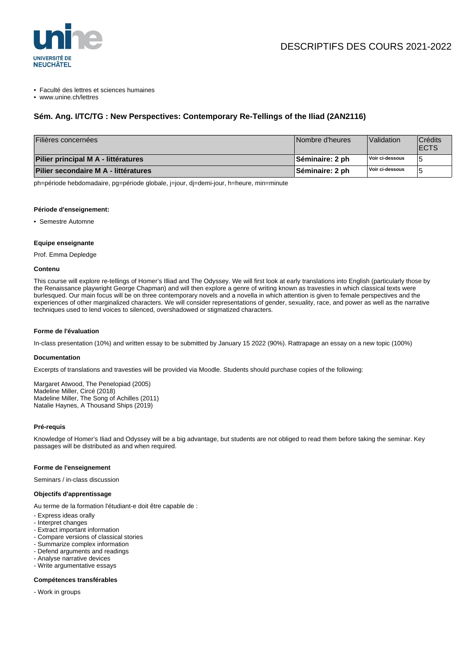

• Faculté des lettres et sciences humaines

• www.unine.ch/lettres

# **Sém. Ang. I/TC/TG : New Perspectives: Contemporary Re-Tellings of the Iliad (2AN2116)**

| Filières concernées                  | Nombre d'heures        | Validation      | <b>Crédits</b><br><b>IECTS</b> |
|--------------------------------------|------------------------|-----------------|--------------------------------|
| Pilier principal M A - littératures  | <b>Séminaire: 2 ph</b> | Voir ci-dessous |                                |
| Pilier secondaire M A - littératures | <b>Séminaire: 2 ph</b> | Voir ci-dessous |                                |

ph=période hebdomadaire, pg=période globale, j=jour, dj=demi-jour, h=heure, min=minute

#### **Période d'enseignement:**

• Semestre Automne

### **Equipe enseignante**

Prof. Emma Depledge

### **Contenu**

This course will explore re-tellings of Homer's Illiad and The Odyssey. We will first look at early translations into English (particularly those by the Renaissance playwright George Chapman) and will then explore a genre of writing known as travesties in which classical texts were burlesqued. Our main focus will be on three contemporary novels and a novella in which attention is given to female perspectives and the experiences of other marginalized characters. We will consider representations of gender, sexuality, race, and power as well as the narrative techniques used to lend voices to silenced, overshadowed or stigmatized characters.

# **Forme de l'évaluation**

In-class presentation (10%) and written essay to be submitted by January 15 2022 (90%). Rattrapage an essay on a new topic (100%)

#### **Documentation**

Excerpts of translations and travesties will be provided via Moodle. Students should purchase copies of the following:

Margaret Atwood, The Penelopiad (2005) Madeline Miller, Circé (2018) Madeline Miller, The Song of Achilles (2011) Natalie Haynes, A Thousand Ships (2019)

#### **Pré-requis**

Knowledge of Homer's Iliad and Odyssey will be a big advantage, but students are not obliged to read them before taking the seminar. Key passages will be distributed as and when required.

#### **Forme de l'enseignement**

Seminars / in-class discussion

#### **Objectifs d'apprentissage**

Au terme de la formation l'étudiant-e doit être capable de :

- Express ideas orally
- Interpret changes
- Extract important information
- Compare versions of classical stories
- Summarize complex information
- Defend arguments and readings
- Analyse narrative devices
- Write argumentative essays

# **Compétences transférables**

- Work in groups